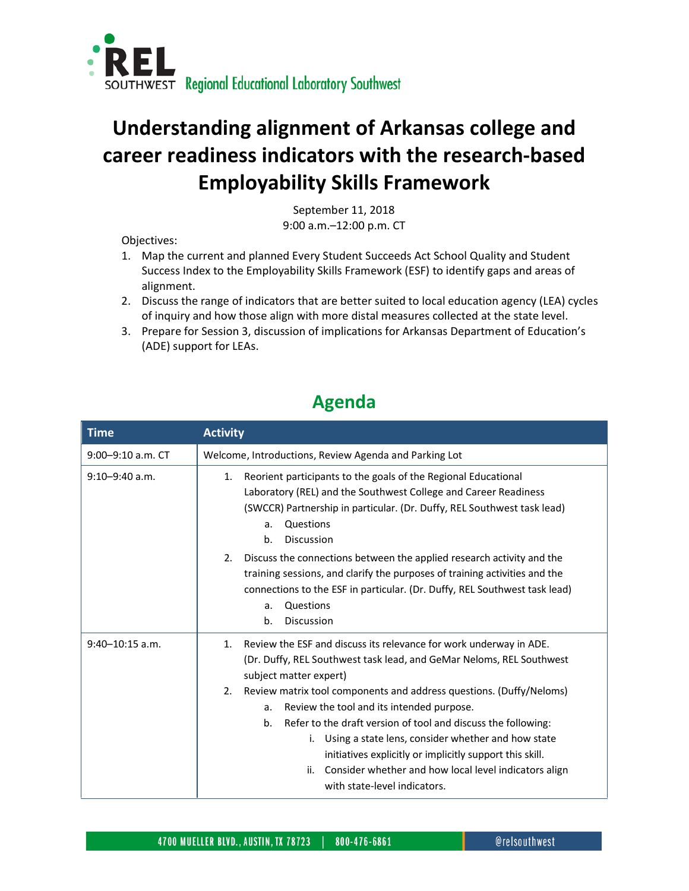

## **Understanding alignment of Arkansas college and career readiness indicators with the research-based Employability Skills Framework**

September 11, 2018 9:00 a.m.–12:00 p.m. CT

Objectives:

- 1. Map the current and planned Every Student Succeeds Act School Quality and Student Success Index to the Employability Skills Framework (ESF) to identify gaps and areas of alignment.
- 2. Discuss the range of indicators that are better suited to local education agency (LEA) cycles of inquiry and how those align with more distal measures collected at the state level.
- 3. Prepare for Session 3, discussion of implications for Arkansas Department of Education's (ADE) support for LEAs.

## **Agenda**

| <b>Time</b>         | <b>Activity</b>                                                                                                                                                                                                                                                                                                                                                                                                                                                                                                                                                                                           |
|---------------------|-----------------------------------------------------------------------------------------------------------------------------------------------------------------------------------------------------------------------------------------------------------------------------------------------------------------------------------------------------------------------------------------------------------------------------------------------------------------------------------------------------------------------------------------------------------------------------------------------------------|
| 9:00-9:10 a.m. CT   | Welcome, Introductions, Review Agenda and Parking Lot                                                                                                                                                                                                                                                                                                                                                                                                                                                                                                                                                     |
| $9:10 - 9:40$ a.m.  | Reorient participants to the goals of the Regional Educational<br>1.<br>Laboratory (REL) and the Southwest College and Career Readiness<br>(SWCCR) Partnership in particular. (Dr. Duffy, REL Southwest task lead)<br>Questions<br>a.<br><b>Discussion</b><br>b.                                                                                                                                                                                                                                                                                                                                          |
|                     | Discuss the connections between the applied research activity and the<br>2.<br>training sessions, and clarify the purposes of training activities and the<br>connections to the ESF in particular. (Dr. Duffy, REL Southwest task lead)<br>Questions<br>a.<br><b>Discussion</b><br>b.                                                                                                                                                                                                                                                                                                                     |
| $9:40 - 10:15$ a.m. | Review the ESF and discuss its relevance for work underway in ADE.<br>1.<br>(Dr. Duffy, REL Southwest task lead, and GeMar Neloms, REL Southwest<br>subject matter expert)<br>Review matrix tool components and address questions. (Duffy/Neloms)<br>2.<br>Review the tool and its intended purpose.<br>a.<br>b.<br>Refer to the draft version of tool and discuss the following:<br>Using a state lens, consider whether and how state<br>i.<br>initiatives explicitly or implicitly support this skill.<br>Consider whether and how local level indicators align<br>ii.<br>with state-level indicators. |